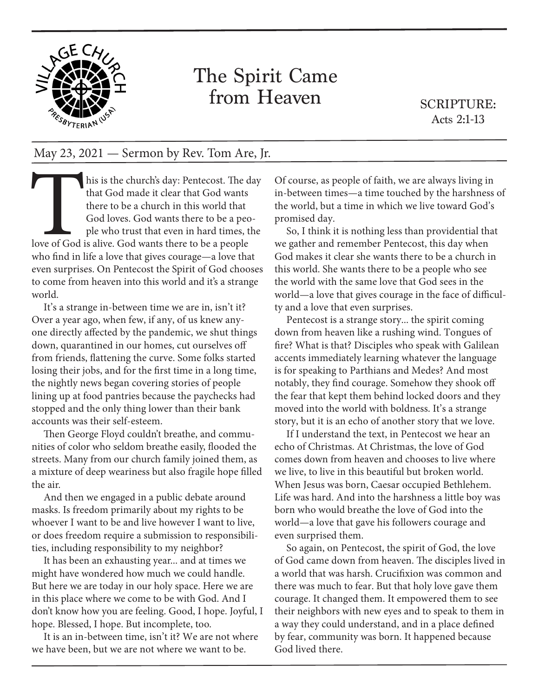

## The Spirit Came from Heaven

SCRIPTURE: Acts 2:1-13

## May 23, 2021 — Sermon by Rev. Tom Are, Jr.

his is the church's day: Pentecost. The day<br>that God made it clear that God wants<br>there to be a church in this world that<br>God loves. God wants there to be a peo-<br>ple who trust that even in hard times, the<br>love of God is al that God made it clear that God wants there to be a church in this world that God loves. God wants there to be a people who trust that even in hard times, the love of God is alive. God wants there to be a people who find in life a love that gives courage—a love that even surprises. On Pentecost the Spirit of God chooses to come from heaven into this world and it's a strange world.

It's a strange in-between time we are in, isn't it? Over a year ago, when few, if any, of us knew anyone directly affected by the pandemic, we shut things down, quarantined in our homes, cut ourselves off from friends, flattening the curve. Some folks started losing their jobs, and for the first time in a long time, the nightly news began covering stories of people lining up at food pantries because the paychecks had stopped and the only thing lower than their bank accounts was their self-esteem.

Then George Floyd couldn't breathe, and communities of color who seldom breathe easily, flooded the streets. Many from our church family joined them, as a mixture of deep weariness but also fragile hope filled the air.

And then we engaged in a public debate around masks. Is freedom primarily about my rights to be whoever I want to be and live however I want to live, or does freedom require a submission to responsibilities, including responsibility to my neighbor?

It has been an exhausting year... and at times we might have wondered how much we could handle. But here we are today in our holy space. Here we are in this place where we come to be with God. And I don't know how you are feeling. Good, I hope. Joyful, I hope. Blessed, I hope. But incomplete, too.

It is an in-between time, isn't it? We are not where we have been, but we are not where we want to be.

Of course, as people of faith, we are always living in in-between times—a time touched by the harshness of the world, but a time in which we live toward God's promised day.

So, I think it is nothing less than providential that we gather and remember Pentecost, this day when God makes it clear she wants there to be a church in this world. She wants there to be a people who see the world with the same love that God sees in the world—a love that gives courage in the face of difficulty and a love that even surprises.

Pentecost is a strange story... the spirit coming down from heaven like a rushing wind. Tongues of fire? What is that? Disciples who speak with Galilean accents immediately learning whatever the language is for speaking to Parthians and Medes? And most notably, they find courage. Somehow they shook off the fear that kept them behind locked doors and they moved into the world with boldness. It's a strange story, but it is an echo of another story that we love.

If I understand the text, in Pentecost we hear an echo of Christmas. At Christmas, the love of God comes down from heaven and chooses to live where we live, to live in this beautiful but broken world. When Jesus was born, Caesar occupied Bethlehem. Life was hard. And into the harshness a little boy was born who would breathe the love of God into the world—a love that gave his followers courage and even surprised them.

So again, on Pentecost, the spirit of God, the love of God came down from heaven. The disciples lived in a world that was harsh. Crucifixion was common and there was much to fear. But that holy love gave them courage. It changed them. It empowered them to see their neighbors with new eyes and to speak to them in a way they could understand, and in a place defined by fear, community was born. It happened because God lived there.